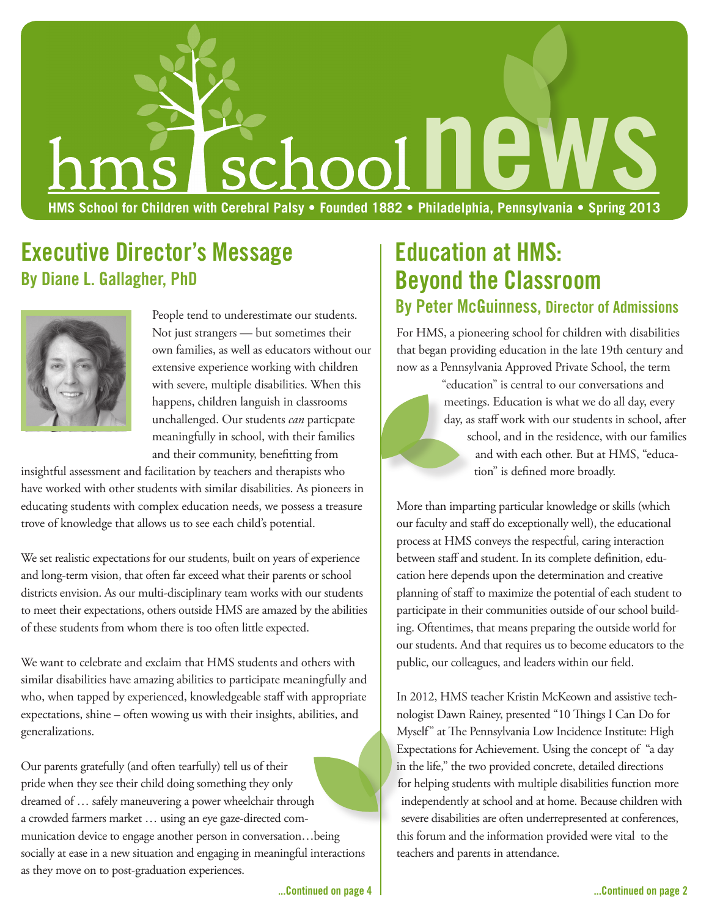# **HMS School for Children with Cerebral Palsy • Founded 1882 • Philadelphia, Pennsylvania • Spring 2013 newspace of the WS**<br>Philadelphia, Pennsylvania • Spring 2013

# **Executive Director's Message By Diane L. Gallagher, PhD**



People tend to underestimate our students. Not just strangers — but sometimes their own families, as well as educators without our extensive experience working with children with severe, multiple disabilities. When this happens, children languish in classrooms unchallenged. Our students *can* particpate meaningfully in school, with their families and their community, benefitting from

insightful assessment and facilitation by teachers and therapists who have worked with other students with similar disabilities. As pioneers in educating students with complex education needs, we possess a treasure trove of knowledge that allows us to see each child's potential.

We set realistic expectations for our students, built on years of experience and long-term vision, that often far exceed what their parents or school districts envision. As our multi-disciplinary team works with our students to meet their expectations, others outside HMS are amazed by the abilities of these students from whom there is too often little expected.

We want to celebrate and exclaim that HMS students and others with similar disabilities have amazing abilities to participate meaningfully and who, when tapped by experienced, knowledgeable staff with appropriate expectations, shine – often wowing us with their insights, abilities, and generalizations.

Our parents gratefully (and often tearfully) tell us of their pride when they see their child doing something they only dreamed of … safely maneuvering a power wheelchair through a crowded farmers market … using an eye gaze-directed communication device to engage another person in conversation…being socially at ease in a new situation and engaging in meaningful interactions as they move on to post-graduation experiences.

# **Education at HMS: Beyond the Classroom**

### **By Peter McGuinness, Director of Admissions**

For HMS, a pioneering school for children with disabilities that began providing education in the late 19th century and now as a Pennsylvania Approved Private School, the term

> "education" is central to our conversations and meetings. Education is what we do all day, every day, as staff work with our students in school, after school, and in the residence, with our families and with each other. But at HMS, "education" is defined more broadly.

More than imparting particular knowledge or skills (which our faculty and staff do exceptionally well), the educational process at HMS conveys the respectful, caring interaction between staff and student. In its complete definition, education here depends upon the determination and creative planning of staff to maximize the potential of each student to participate in their communities outside of our school building. Oftentimes, that means preparing the outside world for our students. And that requires us to become educators to the public, our colleagues, and leaders within our field.

In 2012, HMS teacher Kristin McKeown and assistive technologist Dawn Rainey, presented "10 Things I Can Do for Myself" at The Pennsylvania Low Incidence Institute: High Expectations for Achievement. Using the concept of "a day in the life," the two provided concrete, detailed directions for helping students with multiple disabilities function more independently at school and at home. Because children with severe disabilities are often underrepresented at conferences, this forum and the information provided were vital to the teachers and parents in attendance.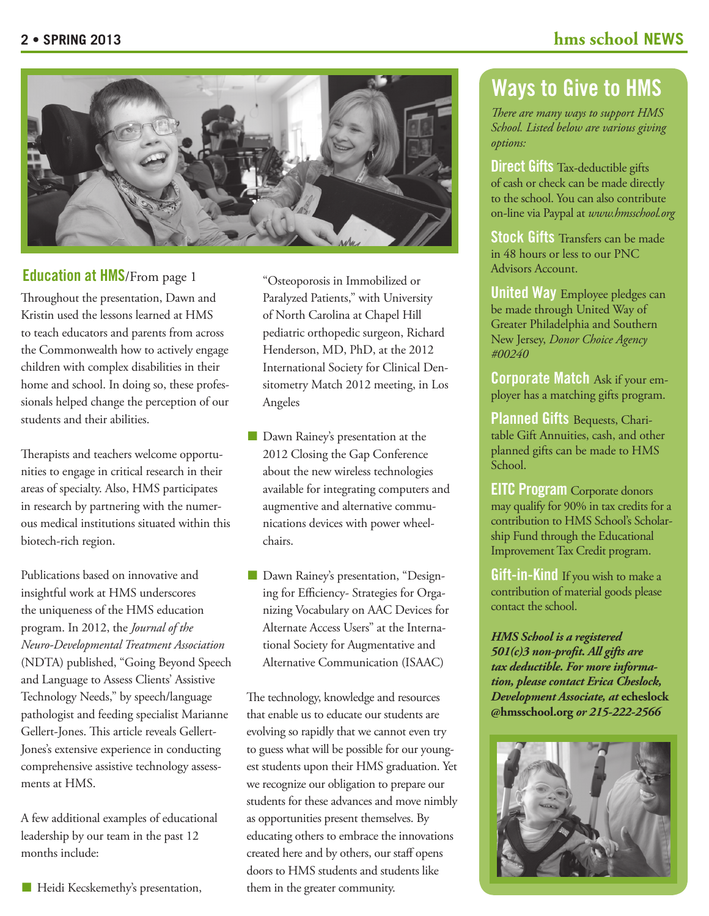

#### **Education at HMS**/From page 1

Throughout the presentation, Dawn and Kristin used the lessons learned at HMS to teach educators and parents from across the Commonwealth how to actively engage children with complex disabilities in their home and school. In doing so, these professionals helped change the perception of our students and their abilities.

Therapists and teachers welcome opportunities to engage in critical research in their areas of specialty. Also, HMS participates in research by partnering with the numerous medical institutions situated within this biotech-rich region.

Publications based on innovative and insightful work at HMS underscores the uniqueness of the HMS education program. In 2012, the *Journal of the Neuro-Developmental Treatment Association*  (NDTA) published, "Going Beyond Speech and Language to Assess Clients' Assistive Technology Needs," by speech/language pathologist and feeding specialist Marianne Gellert-Jones. This article reveals Gellert-Jones's extensive experience in conducting comprehensive assistive technology assessments at HMS.

A few additional examples of educational leadership by our team in the past 12 months include:

"Osteoporosis in Immobilized or Paralyzed Patients," with University of North Carolina at Chapel Hill pediatric orthopedic surgeon, Richard Henderson, MD, PhD, at the 2012 International Society for Clinical Densitometry Match 2012 meeting, in Los Angeles

- **n** Dawn Rainey's presentation at the 2012 Closing the Gap Conference about the new wireless technologies available for integrating computers and augmentive and alternative communications devices with power wheelchairs.
- **n** Dawn Rainey's presentation, "Designing for Efficiency- Strategies for Organizing Vocabulary on AAC Devices for Alternate Access Users" at the International Society for Augmentative and Alternative Communication (ISAAC)

The technology, knowledge and resources that enable us to educate our students are evolving so rapidly that we cannot even try to guess what will be possible for our youngest students upon their HMS graduation. Yet we recognize our obligation to prepare our students for these advances and move nimbly as opportunities present themselves. By educating others to embrace the innovations created here and by others, our staff opens doors to HMS students and students like them in the greater community.

## **Ways to Give to HMS**

*There are many ways to support HMS School. Listed below are various giving options:* 

**Direct Gifts** Tax-deductible gifts of cash or check can be made directly to the school. You can also contribute on-line via Paypal at *www.hmsschool.org*

**Stock Gifts** Transfers can be made in 48 hours or less to our PNC Advisors Account.

**United Way** Employee pledges can be made through United Way of Greater Philadelphia and Southern New Jersey, *Donor Choice Agency #00240*

**Corporate Match** Ask if your employer has a matching gifts program.

**Planned Gifts** Bequests, Charitable Gift Annuities, cash, and other planned gifts can be made to HMS School.

**EITC Program** Corporate donors may qualify for 90% in tax credits for a contribution to HMS School's Scholarship Fund through the Educational Improvement Tax Credit program.

**Gift-in-Kind** If you wish to make a contribution of material goods please contact the school.

*HMS School is a registered 501(c)3 non-profit. All gifts are tax deductible. For more information, please contact Erica Cheslock, Development Associate, at* **echeslock @hmsschool.org** *or 215-222-2566*

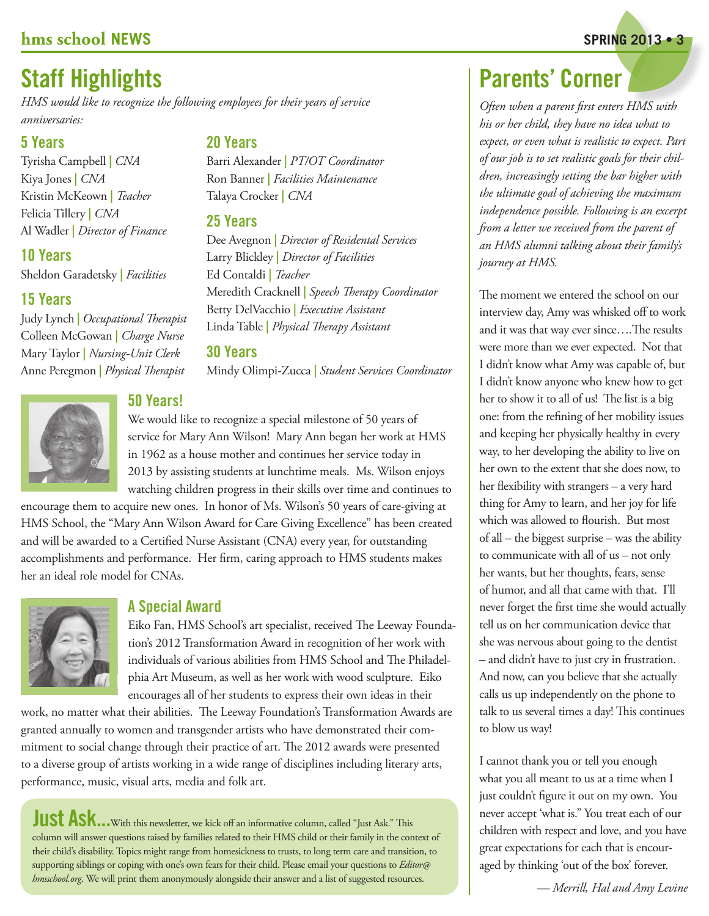#### **hms school NEWS** SPRING 2013 • 3

# **Staff Highlights**

*HMS would like to recognize the following employees for their years of service anniversaries:*

#### **5 Years**

Tyrisha Campbell **|** *CNA* Kiya Jones **|** *CNA* Kristin McKeown **|** *Teacher* Felicia Tillery **|** *CNA* Al Wadler **|** *Director of Finance*

#### **10 Years**

Sheldon Garadetsky **|** *Facilities*

#### **15 Years**

Judy Lynch **|** *Occupational Therapist* Colleen McGowan **|** *Charge Nurse* Mary Taylor **|** *Nursing-Unit Clerk* Anne Peregmon **|** *Physical Therapist*



#### **50 Years!**

We would like to recognize a special milestone of 50 years of service for Mary Ann Wilson! Mary Ann began her work at HMS in 1962 as a house mother and continues her service today in 2013 by assisting students at lunchtime meals. Ms. Wilson enjoys watching children progress in their skills over time and continues to

encourage them to acquire new ones. In honor of Ms. Wilson's 50 years of care-giving at HMS School, the "Mary Ann Wilson Award for Care Giving Excellence" has been created and will be awarded to a Certified Nurse Assistant (CNA) every year, for outstanding accomplishments and performance. Her firm, caring approach to HMS students makes her an ideal role model for CNAs.



#### **A Special Award**

Eiko Fan, HMS School's art specialist, received The Leeway Foundation's 2012 Transformation Award in recognition of her work with individuals of various abilities from HMS School and The Philadelphia Art Museum, as well as her work with wood sculpture. Eiko encourages all of her students to express their own ideas in their

work, no matter what their abilities. The Leeway Foundation's Transformation Awards are granted annually to women and transgender artists who have demonstrated their commitment to social change through their practice of art. The 2012 awards were presented to a diverse group of artists working in a wide range of disciplines including literary arts, performance, music, visual arts, media and folk art.

**Just Ask...** With this newsletter, we kick off an informative column, called "Just Ask." This column will answer questions raised by families related to their HMS child or their family in the context of their child's disability. Topics might range from homesickness to trusts, to long term care and transition, to supporting siblings or coping with one's own fears for their child. Please email your questions to *Editor@ hmsschool.org*. We will print them anonymously alongside their answer and a list of suggested resources.

#### **20 Years**

Barri Alexander **|** *PT/OT Coordinator* Ron Banner **|** *Facilities Maintenance* Talaya Crocker **|** *CNA*

#### **25 Years**

Dee Avegnon **|** *Director of Residental Services* Larry Blickley **|** *Director of Facilities* Ed Contaldi **|** *Teacher* Meredith Cracknell **|** *Speech Therapy Coordinator* Betty DelVacchio **|** *Executive Assistant* Linda Table **|** *Physical Therapy Assistant*

#### **30 Years**

Mindy Olimpi-Zucca **|** *Student Services Coordinator*

# **Parents' Corner**

*Often when a parent first enters HMS with his or her child, they have no idea what to expect, or even what is realistic to expect. Part of our job is to set realistic goals for their children, increasingly setting the bar higher with the ultimate goal of achieving the maximum independence possible. Following is an excerpt from a letter we received from the parent of an HMS alumni talking about their family's journey at HMS.* 

The moment we entered the school on our interview day, Amy was whisked off to work and it was that way ever since….The results were more than we ever expected. Not that I didn't know what Amy was capable of, but I didn't know anyone who knew how to get her to show it to all of us! The list is a big one: from the refining of her mobility issues and keeping her physically healthy in every way, to her developing the ability to live on her own to the extent that she does now, to her flexibility with strangers – a very hard thing for Amy to learn, and her joy for life which was allowed to flourish. But most of all – the biggest surprise – was the ability to communicate with all of us – not only her wants, but her thoughts, fears, sense of humor, and all that came with that. I'll never forget the first time she would actually tell us on her communication device that she was nervous about going to the dentist – and didn't have to just cry in frustration. And now, can you believe that she actually calls us up independently on the phone to talk to us several times a day! This continues to blow us way!

I cannot thank you or tell you enough what you all meant to us at a time when I just couldn't figure it out on my own. You never accept 'what is." You treat each of our children with respect and love, and you have great expectations for each that is encouraged by thinking 'out of the box' forever.

*— Merrill, Hal and Amy Levine*